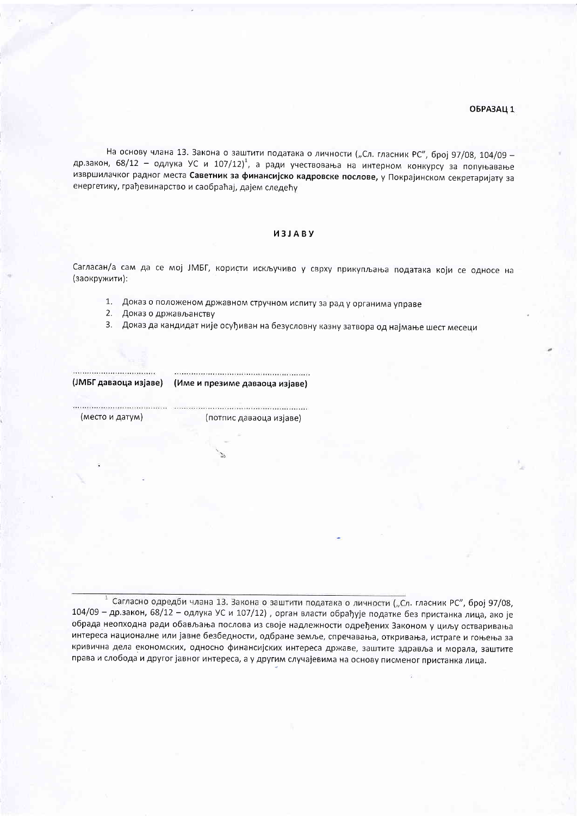## ОБРАЗАЦ 1

На основу члана 13. Закона о заштити података о личности ("Сл. гласник РС", број 97/08, 104/09 др.закон, 68/12 - одлука УС и 107/12)<sup>1</sup>, а ради учествовања на интерном конкурсу за попуњавање извршилачког радног места Саветник за финансијско кадровске послове, у Покрајинском секретаријату за енергетику, грађевинарство и саобраћај, дајем следећу

## *UBJABY*

Сагласан/а сам да се мој ЈМБГ, користи искључиво у сврху прикупљања података који се односе на (заокружити):

- 1. Доказ о положеном државном стручном испиту за рад у органима управе
- 2. Доказ о држављанству
- 3. Доказ да кандидат није осуђиван на безусловну казну затвора од најмање шест месеци



(ЈМБГ даваоца изјаве) (Име и презиме даваоца изјаве)

(место и датум)

(потпис даваоца изјаве)

1 Сагласно одредби члана 13. Закона о заштити података о личности ("Сл. гласник РС", број 97/08, 104/09 - др.закон, 68/12 - одлука УС и 107/12), орган власти обрађује податке без пристанка лица, ако је обрада неопходна ради обављања послова из своје надлежности одређених Законом у циљу остваривања интереса националне или јавне безбедности, одбране земље, спречавања, откривања, истраге и гоњења за кривична дела економских, односно финансијских интереса државе, заштите здравља и морала, заштите права и слобода и другог јавног интереса, а у другим случајевима на основу писменог пристанка лица.